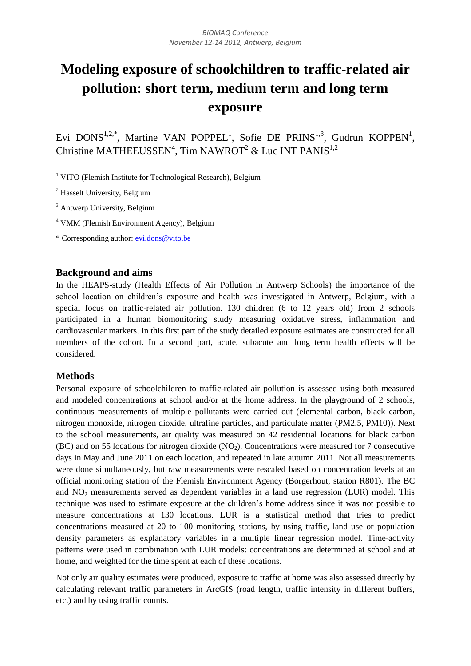# **Modeling exposure of schoolchildren to traffic-related air pollution: short term, medium term and long term exposure**

Evi DONS<sup>1,2,\*</sup>, Martine VAN POPPEL<sup>1</sup>, Sofie DE PRINS<sup>1,3</sup>, Gudrun KOPPEN<sup>1</sup>, Christine MATHEEUSSEN<sup>4</sup>, Tim NAWROT<sup>2</sup> & Luc INT PANIS<sup>1,2</sup>

 $1$  VITO (Flemish Institute for Technological Research), Belgium

<sup>2</sup> Hasselt University, Belgium

<sup>3</sup> Antwerp University, Belgium

<sup>4</sup> VMM (Flemish Environment Agency), Belgium

\* Corresponding author: [evi.dons@vito.be](mailto:evi.dons@vito.be)

# **Background and aims**

In the HEAPS-study (Health Effects of Air Pollution in Antwerp Schools) the importance of the school location on children's exposure and health was investigated in Antwerp, Belgium, with a special focus on traffic-related air pollution. 130 children (6 to 12 years old) from 2 schools participated in a human biomonitoring study measuring oxidative stress, inflammation and cardiovascular markers. In this first part of the study detailed exposure estimates are constructed for all members of the cohort. In a second part, acute, subacute and long term health effects will be considered.

# **Methods**

Personal exposure of schoolchildren to traffic-related air pollution is assessed using both measured and modeled concentrations at school and/or at the home address. In the playground of 2 schools, continuous measurements of multiple pollutants were carried out (elemental carbon, black carbon, nitrogen monoxide, nitrogen dioxide, ultrafine particles, and particulate matter (PM2.5, PM10)). Next to the school measurements, air quality was measured on 42 residential locations for black carbon (BC) and on 55 locations for nitrogen dioxide (NO2). Concentrations were measured for 7 consecutive days in May and June 2011 on each location, and repeated in late autumn 2011. Not all measurements were done simultaneously, but raw measurements were rescaled based on concentration levels at an official monitoring station of the Flemish Environment Agency (Borgerhout, station R801). The BC and NO<sub>2</sub> measurements served as dependent variables in a land use regression (LUR) model. This technique was used to estimate exposure at the children's home address since it was not possible to measure concentrations at 130 locations. LUR is a statistical method that tries to predict concentrations measured at 20 to 100 monitoring stations, by using traffic, land use or population density parameters as explanatory variables in a multiple linear regression model. Time-activity patterns were used in combination with LUR models: concentrations are determined at school and at home, and weighted for the time spent at each of these locations.

Not only air quality estimates were produced, exposure to traffic at home was also assessed directly by calculating relevant traffic parameters in ArcGIS (road length, traffic intensity in different buffers, etc.) and by using traffic counts.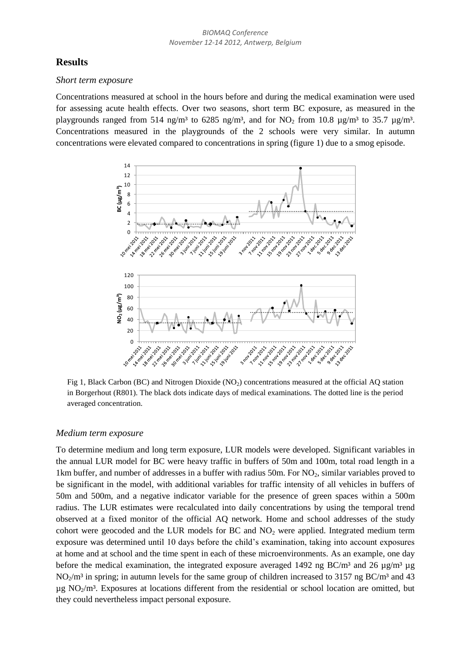# **Results**

#### *Short term exposure*

Concentrations measured at school in the hours before and during the medical examination were used for assessing acute health effects. Over two seasons, short term BC exposure, as measured in the playgrounds ranged from 514 ng/m<sup>3</sup> to 6285 ng/m<sup>3</sup>, and for NO<sub>2</sub> from 10.8  $\mu$ g/m<sup>3</sup> to 35.7  $\mu$ g/m<sup>3</sup>. Concentrations measured in the playgrounds of the 2 schools were very similar. In autumn



Fig 1, Black Carbon (BC) and Nitrogen Dioxide (NO<sub>2</sub>) concentrations measured at the official AQ station in Borgerhout (R801). The black dots indicate days of medical examinations. The dotted line is the period averaged concentration.

#### *Medium term exposure*

To determine medium and long term exposure, LUR models were developed. Significant variables in the annual LUR model for BC were heavy traffic in buffers of 50m and 100m, total road length in a 1km buffer, and number of addresses in a buffer with radius 50m. For NO<sub>2</sub>, similar variables proved to be significant in the model, with additional variables for traffic intensity of all vehicles in buffers of 50m and 500m, and a negative indicator variable for the presence of green spaces within a 500m radius. The LUR estimates were recalculated into daily concentrations by using the temporal trend observed at a fixed monitor of the official AQ network. Home and school addresses of the study cohort were geocoded and the LUR models for BC and NO<sub>2</sub> were applied. Integrated medium term exposure was determined until 10 days before the child's examination, taking into account exposures at home and at school and the time spent in each of these microenvironments. As an example, one day before the medical examination, the integrated exposure averaged 1492 ng BC/m<sup>3</sup> and 26  $\mu$ g/m<sup>3</sup>  $\mu$ g  $NO<sub>2</sub>/m<sup>3</sup>$  in spring; in autumn levels for the same group of children increased to 3157 ng BC/m<sup>3</sup> and 43  $\mu$ g NO<sub>2</sub>/m<sup>3</sup>. Exposures at locations different from the residential or school location are omitted, but they could nevertheless impact personal exposure.